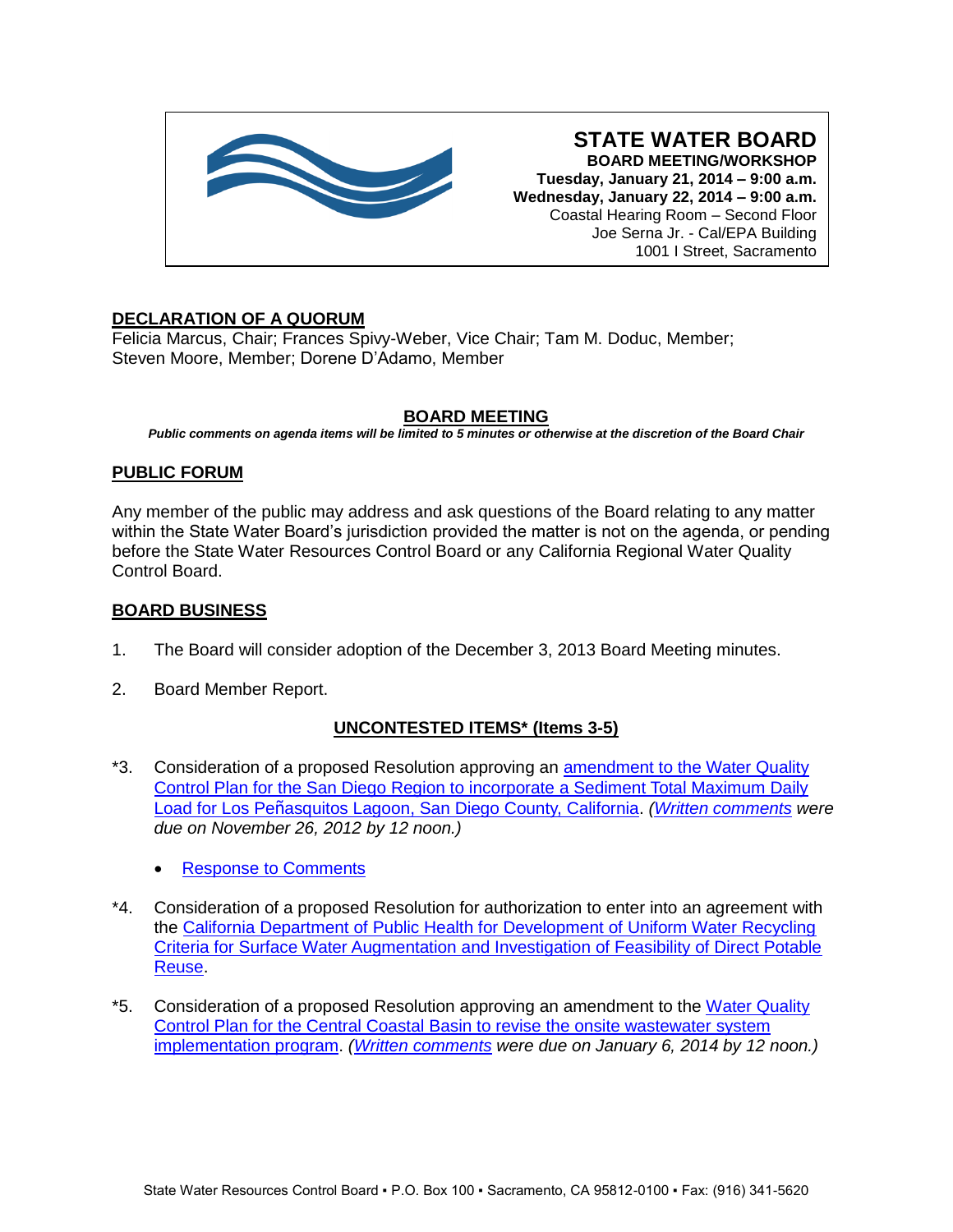

**STATE WATER BOARD BOARD MEETING/WORKSHOP Tuesday, January 21, 2014 – 9:00 a.m. Wednesday, January 22, 2014 – 9:00 a.m.** Coastal Hearing Room – Second Floor Joe Serna Jr. - Cal/EPA Building 1001 I Street, Sacramento

# **DECLARATION OF A QUORUM**

Felicia Marcus, Chair; Frances Spivy-Weber, Vice Chair; Tam M. Doduc, Member; Steven Moore, Member; Dorene D'Adamo, Member

# **BOARD MEETING**

*Public comments on agenda items will be limited to 5 minutes or otherwise at the discretion of the Board Chair*

### **PUBLIC FORUM**

Any member of the public may address and ask questions of the Board relating to any matter within the State Water Board's jurisdiction provided the matter is not on the agenda, or pending before the State Water Resources Control Board or any California Regional Water Quality Control Board.

### **BOARD BUSINESS**

- 1. The Board will consider adoption of the December 3, 2013 Board Meeting minutes.
- 2. Board Member Report.

# **UNCONTESTED ITEMS\* (Items 3-5)**

- \*3. Consideration of a proposed Resolution approving an [amendment to the Water Quality](http://www.waterboards.ca.gov/board_info/agendas/2014/jan/012114_3_with_draft_resolution.pdf)  [Control Plan for the San Diego Region to incorporate a Sediment](http://www.waterboards.ca.gov/board_info/agendas/2014/jan/012114_3_with_draft_resolution.pdf) Total Maximum Daily Load for Los Peñ[asquitos Lagoon, San Diego County, California.](http://www.waterboards.ca.gov/board_info/agendas/2014/jan/012114_3_with_draft_resolution.pdf) *[\(Written comments](http://www.waterboards.ca.gov/public_notices/comments/los_penasquitos/) were due on November 26, 2012 by 12 noon.)*
	- [Response to Comments](http://www.waterboards.ca.gov/water_issues/programs/tmdl/docs/sandiego/lospenasquitos_rtc.pdf)
- \*4. Consideration of a proposed Resolution for authorization to enter into an agreement with the [California Department of Public Health for Development of Uniform Water Recycling](http://www.waterboards.ca.gov/board_info/agendas/2014/jan/012114_4_with_draft_resolution.pdf)  [Criteria for Surface Water Augmentation and Investigation of Feasibility of Direct Potable](http://www.waterboards.ca.gov/board_info/agendas/2014/jan/012114_4_with_draft_resolution.pdf)  [Reuse.](http://www.waterboards.ca.gov/board_info/agendas/2014/jan/012114_4_with_draft_resolution.pdf)
- \*5. Consideration of a proposed Resolution approving an amendment to the [Water Quality](http://www.waterboards.ca.gov/board_info/agendas/2014/jan/012114_5_with_draft_resolution.pdf)  [Control Plan for the Central Coastal Basin to revise the onsite wastewater system](http://www.waterboards.ca.gov/board_info/agendas/2014/jan/012114_5_with_draft_resolution.pdf)  [implementation program.](http://www.waterboards.ca.gov/board_info/agendas/2014/jan/012114_5_with_draft_resolution.pdf) *[\(Written comments](http://www.waterboards.ca.gov/public_notices/comments/rb3/comments010614/index.shtml) were due on January 6, 2014 by 12 noon.)*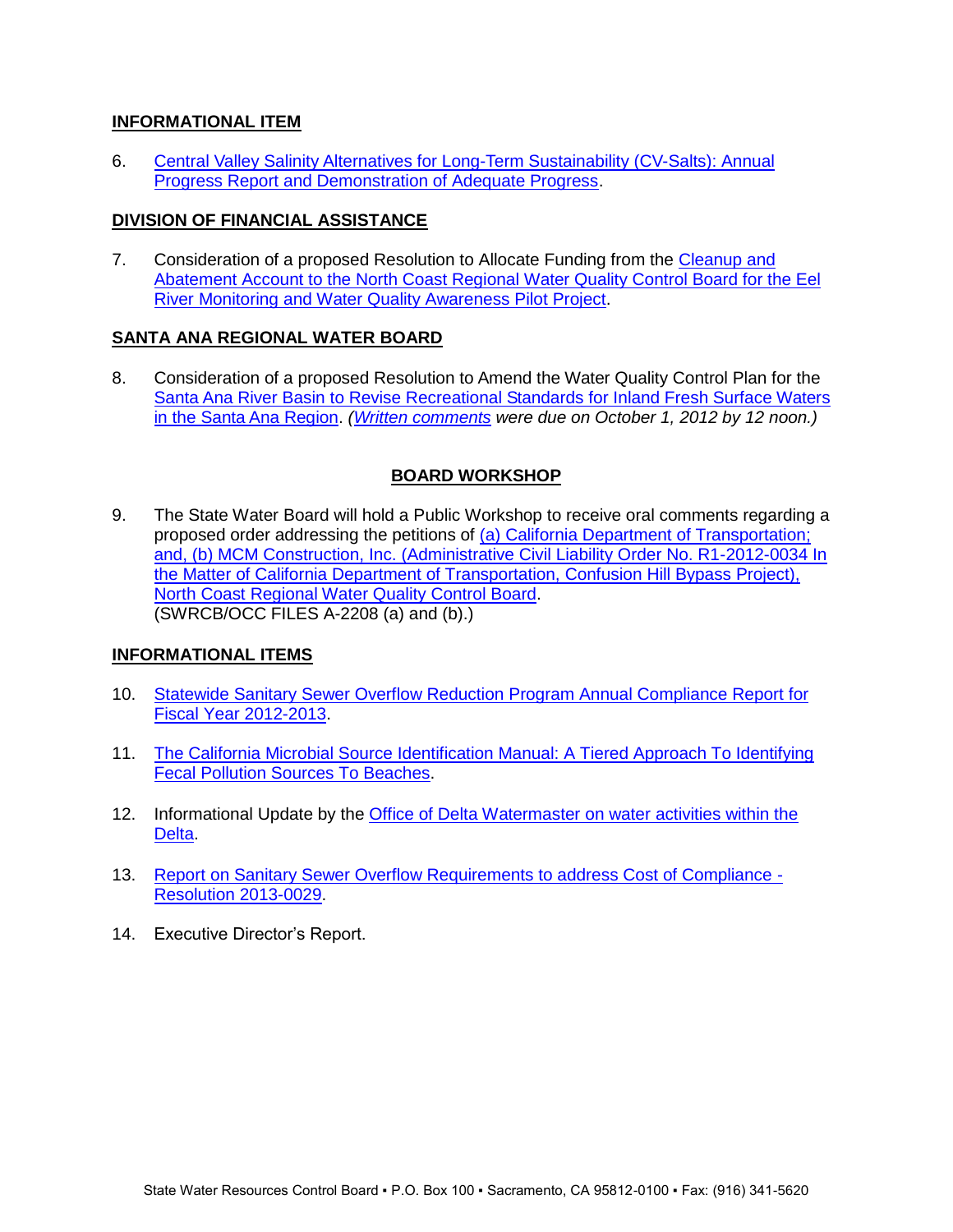# **INFORMATIONAL ITEM**

6. [Central Valley Salinity Alternatives for Long-Term Sustainability \(CV-Salts\): Annual](http://www.waterboards.ca.gov/board_info/agendas/2014/jan/012114_6.pdf)  [Progress Report and Demonstration of Adequate Progress.](http://www.waterboards.ca.gov/board_info/agendas/2014/jan/012114_6.pdf)

#### **DIVISION OF FINANCIAL ASSISTANCE**

7. Consideration of a proposed Resolution to Allocate Funding from the [Cleanup and](http://www.waterboards.ca.gov/board_info/agendas/2014/jan/012114_7_with_draft_resolution.pdf)  [Abatement Account to the North Coast Regional Water Quality Control Board for the Eel](http://www.waterboards.ca.gov/board_info/agendas/2014/jan/012114_7_with_draft_resolution.pdf)  [River Monitoring and Water Quality Awareness Pilot Project.](http://www.waterboards.ca.gov/board_info/agendas/2014/jan/012114_7_with_draft_resolution.pdf)

### **SANTA ANA REGIONAL WATER BOARD**

8. Consideration of a proposed Resolution to Amend the Water Quality Control Plan for the [Santa Ana River Basin to Revise Recreational Standards for Inland Fresh Surface Waters](http://www.waterboards.ca.gov/board_info/agendas/2014/jan/012114_8_with_draft_resolution.pdf)  [in the Santa Ana Region.](http://www.waterboards.ca.gov/board_info/agendas/2014/jan/012114_8_with_draft_resolution.pdf) *[\(Written comments](http://www.waterboards.ca.gov/public_notices/comments/rb8/cmmnt100112.shtml) were due on October 1, 2012 by 12 noon.)*

# **BOARD WORKSHOP**

9. The State Water Board will hold a Public Workshop to receive oral comments regarding a proposed order addressing the petitions of (a) California Department of Transportation; [and, \(b\) MCM Construction, Inc. \(Administrative Civil Liability Order No. R1-2012-0034 In](http://www.waterboards.ca.gov/board_info/agendas/2014/jan/012114_9.pdf)  [the Matter of California Department of Transportation, Confusion Hill Bypass Project\),](http://www.waterboards.ca.gov/board_info/agendas/2014/jan/012114_9.pdf)  [North Coast Regional Water Quality Control Board.](http://www.waterboards.ca.gov/board_info/agendas/2014/jan/012114_9.pdf) (SWRCB/OCC FILES A-2208 (a) and (b).)

# **INFORMATIONAL ITEMS**

- 10. [Statewide Sanitary Sewer Overflow Reduction Program Annual Compliance Report](http://www.waterboards.ca.gov/board_info/agendas/2014/jan/012114_10.pdf) for [Fiscal Year 2012-2013.](http://www.waterboards.ca.gov/board_info/agendas/2014/jan/012114_10.pdf)
- 11. [The California Microbial Source Identification Manual: A Tiered Approach To Identifying](http://www.waterboards.ca.gov/board_info/agendas/2014/jan/012114_11.pdf)  [Fecal Pollution Sources To Beaches.](http://www.waterboards.ca.gov/board_info/agendas/2014/jan/012114_11.pdf)
- 12. Informational Update by the [Office of Delta Watermaster on water activities within the](http://www.waterboards.ca.gov/board_info/agendas/2014/jan/012114_12.pdf)  [Delta.](http://www.waterboards.ca.gov/board_info/agendas/2014/jan/012114_12.pdf)
- 13. [Report on Sanitary Sewer Overflow Requirements to address Cost of Compliance -](http://www.waterboards.ca.gov/board_info/agendas/2014/jan/012114_13.pdf) [Resolution 2013-0029.](http://www.waterboards.ca.gov/board_info/agendas/2014/jan/012114_13.pdf)
- 14. Executive Director's Report.